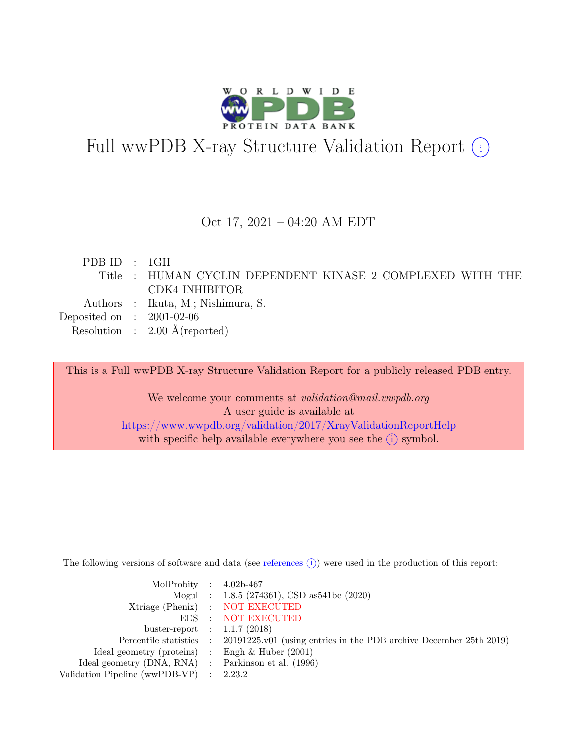

# Full wwPDB X-ray Structure Validation Report  $(i)$

#### Oct 17, 2021 – 04:20 AM EDT

| PDBID : 1GII                |                                                            |
|-----------------------------|------------------------------------------------------------|
|                             | Title : HUMAN CYCLIN DEPENDENT KINASE 2 COMPLEXED WITH THE |
|                             | CDK4 INHIBITOR                                             |
|                             | Authors : Ikuta, M.; Nishimura, S.                         |
| Deposited on : $2001-02-06$ |                                                            |
|                             | Resolution : $2.00 \text{ Å}$ (reported)                   |

This is a Full wwPDB X-ray Structure Validation Report for a publicly released PDB entry.

We welcome your comments at *validation@mail.wwpdb.org* A user guide is available at <https://www.wwpdb.org/validation/2017/XrayValidationReportHelp> with specific help available everywhere you see the  $(i)$  symbol.

The following versions of software and data (see [references](https://www.wwpdb.org/validation/2017/XrayValidationReportHelp#references)  $(i)$ ) were used in the production of this report:

| MolProbity : $4.02b-467$                            |                                                                                            |
|-----------------------------------------------------|--------------------------------------------------------------------------------------------|
|                                                     | Mogul : $1.8.5$ (274361), CSD as 541be (2020)                                              |
|                                                     | Xtriage (Phenix) : NOT EXECUTED                                                            |
|                                                     | EDS : NOT EXECUTED                                                                         |
| buster-report : $1.1.7$ (2018)                      |                                                                                            |
|                                                     | Percentile statistics : 20191225.v01 (using entries in the PDB archive December 25th 2019) |
| Ideal geometry (proteins) : Engh $\&$ Huber (2001)  |                                                                                            |
| Ideal geometry (DNA, RNA) : Parkinson et al. (1996) |                                                                                            |
| Validation Pipeline (wwPDB-VP) : $2.23.2$           |                                                                                            |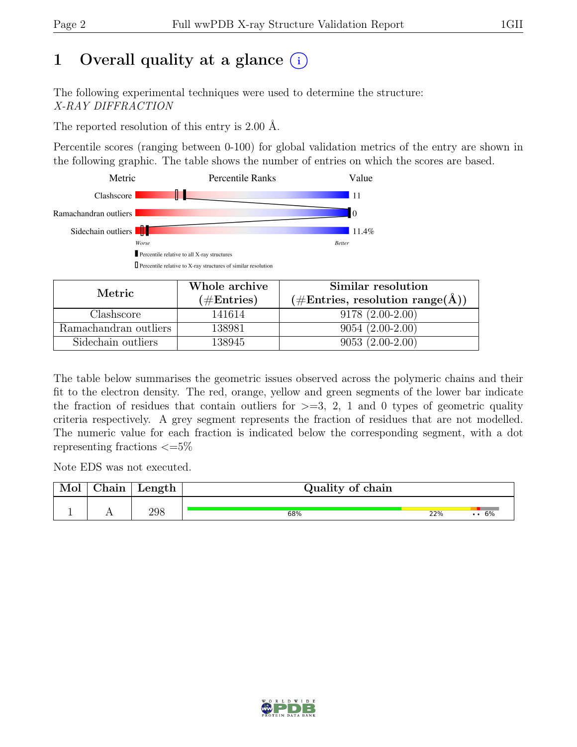# 1 Overall quality at a glance  $(i)$

The following experimental techniques were used to determine the structure: X-RAY DIFFRACTION

The reported resolution of this entry is 2.00 Å.

Percentile scores (ranging between 0-100) for global validation metrics of the entry are shown in the following graphic. The table shows the number of entries on which the scores are based.



| Metric                | Whole archive | Similar resolution                                         |
|-----------------------|---------------|------------------------------------------------------------|
|                       | $(\#Entries)$ | $(\#\text{Entries}, \text{ resolution range}(\text{\AA}))$ |
| Clashscore            | 141614        | $9178(2.00-2.00)$                                          |
| Ramachandran outliers | 138981        | $9054(2.00-2.00)$                                          |
| Sidechain outliers    | 138945        | $9053(2.00-2.00)$                                          |

The table below summarises the geometric issues observed across the polymeric chains and their fit to the electron density. The red, orange, yellow and green segments of the lower bar indicate the fraction of residues that contain outliers for  $\geq=3$ , 2, 1 and 0 types of geometric quality criteria respectively. A grey segment represents the fraction of residues that are not modelled. The numeric value for each fraction is indicated below the corresponding segment, with a dot representing fractions  $\epsilon = 5\%$ 

Note EDS was not executed.

| Mol | ${\rm Chain}$ | Length | Quality of chain |     |              |
|-----|---------------|--------|------------------|-----|--------------|
|     |               | 298    | 68%              | 22% | $\cdots 6\%$ |

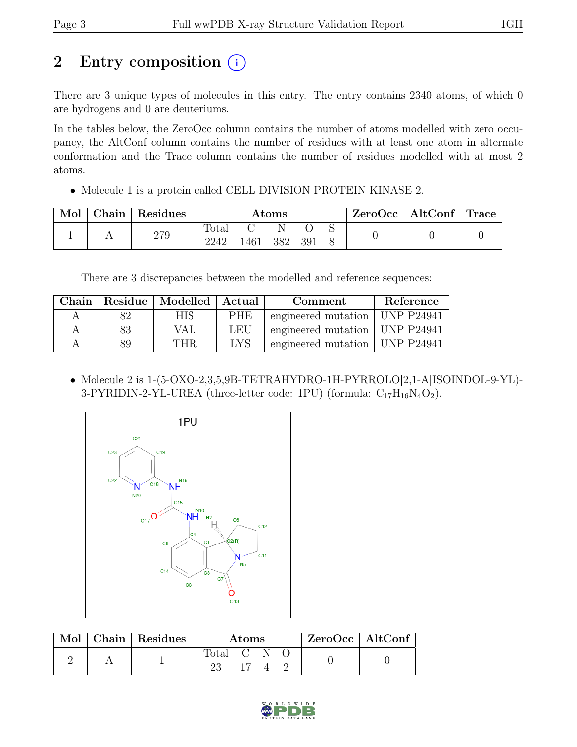# 2 Entry composition (i)

There are 3 unique types of molecules in this entry. The entry contains 2340 atoms, of which 0 are hydrogens and 0 are deuteriums.

In the tables below, the ZeroOcc column contains the number of atoms modelled with zero occupancy, the AltConf column contains the number of residues with at least one atom in alternate conformation and the Trace column contains the number of residues modelled with at most 2 atoms.

• Molecule 1 is a protein called CELL DIVISION PROTEIN KINASE 2.

| Mol | $\perp$ Chain $^+$ | Residues | $\rm{Atoms}$  |      |     |      | $ZeroOcc \mid AltConf \mid Trace$ |  |  |
|-----|--------------------|----------|---------------|------|-----|------|-----------------------------------|--|--|
|     |                    | 279      | Total<br>2242 | .461 | 382 | -391 |                                   |  |  |

There are 3 discrepancies between the modelled and reference sequences:

| Chain |    | Residue   Modelled   Actual |            | Comment                          | Reference |
|-------|----|-----------------------------|------------|----------------------------------|-----------|
|       |    | НIS                         | <b>PHE</b> | engineered mutation   UNP P24941 |           |
|       |    | VAL                         | LEU        | engineered mutation   UNP P24941 |           |
|       | 89 | THR                         | <b>IYS</b> | engineered mutation   UNP P24941 |           |

• Molecule 2 is 1-(5-OXO-2,3,5,9B-TETRAHYDRO-1H-PYRROLO[2,1-A]ISOINDOL-9-YL)- 3-PYRIDIN-2-YL-UREA (three-letter code: 1PU) (formula:  $C_{17}H_{16}N_4O_2$ ).



| Mol | $\vert$ Chain $\vert$ Residues | <b>Atoms</b> |  |  |  | $ZeroOcc \   \$ AltConf |
|-----|--------------------------------|--------------|--|--|--|-------------------------|
|     |                                | Total C N    |  |  |  |                         |

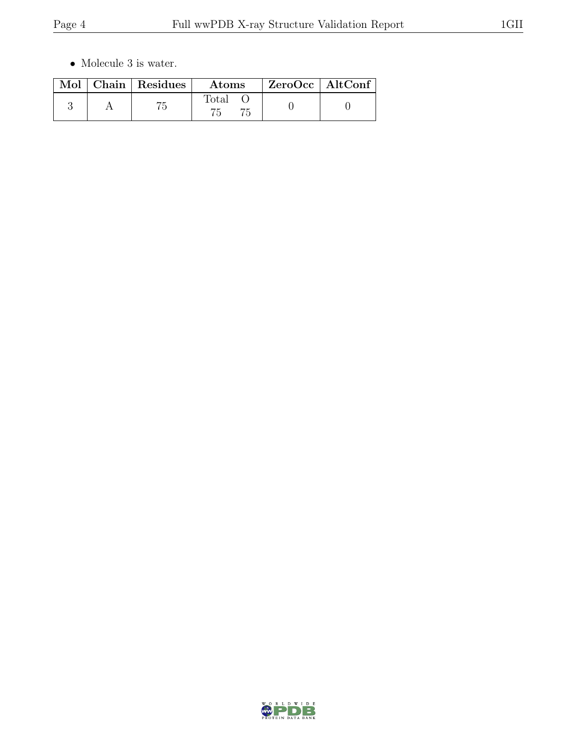$\bullet\,$  Molecule 3 is water.

|  | Mol   Chain   Residues | $\rm{Atoms}$   | ZeroOcc   AltConf |  |
|--|------------------------|----------------|-------------------|--|
|  |                        | $\text{Total}$ |                   |  |

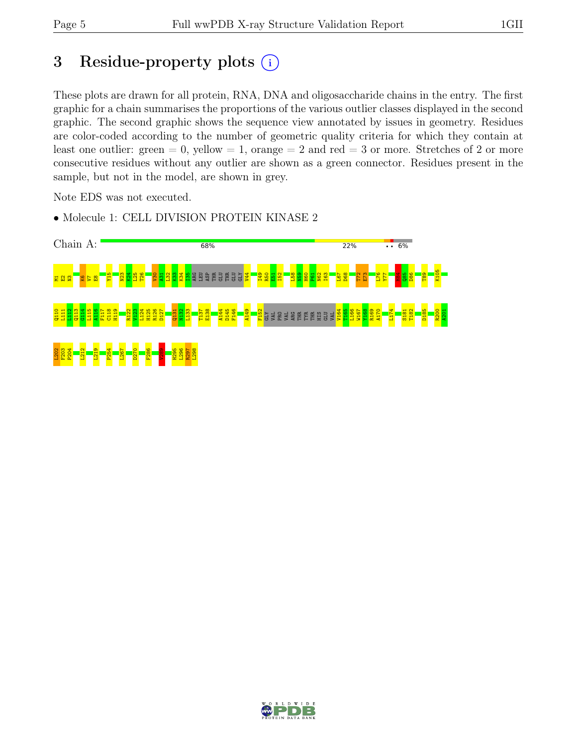# 3 Residue-property plots  $(i)$

These plots are drawn for all protein, RNA, DNA and oligosaccharide chains in the entry. The first graphic for a chain summarises the proportions of the various outlier classes displayed in the second graphic. The second graphic shows the sequence view annotated by issues in geometry. Residues are color-coded according to the number of geometric quality criteria for which they contain at least one outlier: green  $= 0$ , yellow  $= 1$ , orange  $= 2$  and red  $= 3$  or more. Stretches of 2 or more consecutive residues without any outlier are shown as a green connector. Residues present in the sample, but not in the model, are shown in grey.

Note EDS was not executed.



• Molecule 1: CELL DIVISION PROTEIN KINASE 2

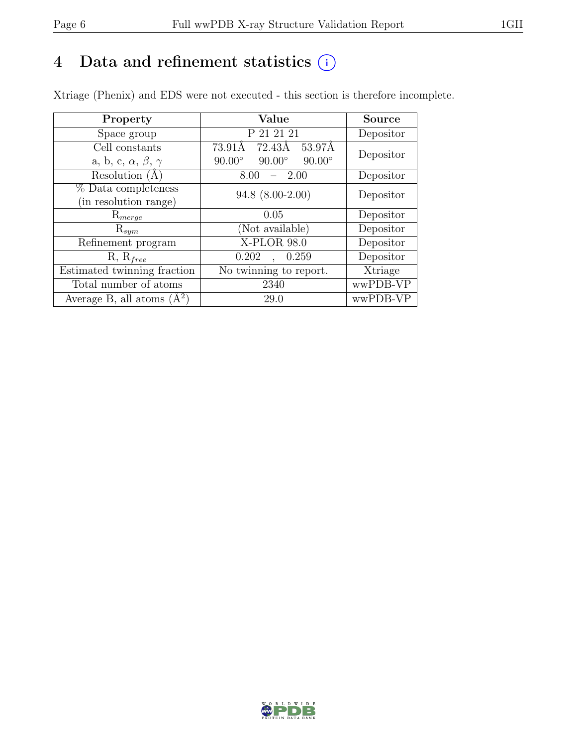## 4 Data and refinement statistics  $(i)$

Xtriage (Phenix) and EDS were not executed - this section is therefore incomplete.

| Property                               | Value                                           | <b>Source</b> |
|----------------------------------------|-------------------------------------------------|---------------|
| Space group                            | P 21 21 21                                      | Depositor     |
| Cell constants                         | 72.43Å<br>53.97Å<br>73.91Å                      | Depositor     |
| a, b, c, $\alpha$ , $\beta$ , $\gamma$ | $90.00^\circ$<br>$90.00^\circ$<br>$90.00^\circ$ |               |
| Resolution (A)                         | - 2.00<br>8.00                                  | Depositor     |
| % Data completeness                    | $94.8$ $(8.00-2.00)$                            | Depositor     |
| (in resolution range)                  |                                                 |               |
| $\mathrm{R}_{merge}$                   | 0.05                                            | Depositor     |
| $\mathrm{R}_{sym}$                     | (Not available)                                 | Depositor     |
| Refinement program                     | X-PLOR 98.0                                     | Depositor     |
| $R, R_{free}$                          | 0.202<br>0.259<br>$\ddot{\phantom{0}}$          | Depositor     |
| Estimated twinning fraction            | No twinning to report.                          | Xtriage       |
| Total number of atoms                  | 2340                                            | wwPDB-VP      |
| Average B, all atoms $(A^2)$           | 29.0                                            | wwPDB-VP      |

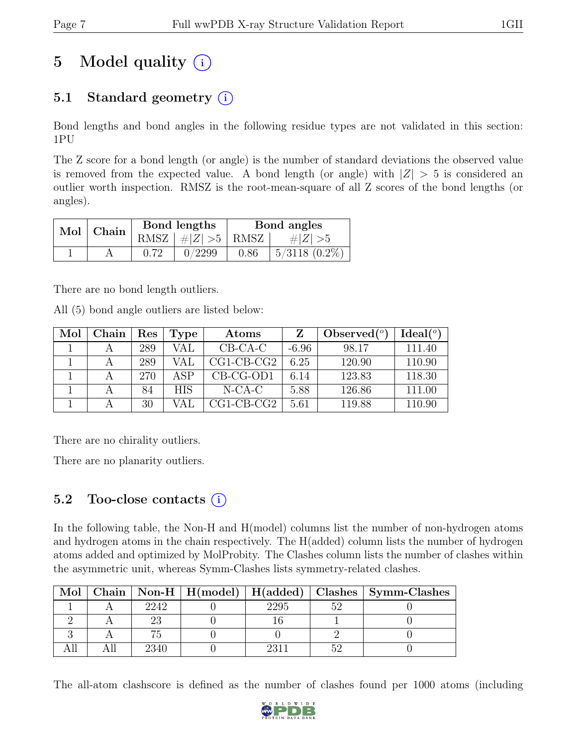# 5 Model quality  $(i)$

## 5.1 Standard geometry  $(i)$

Bond lengths and bond angles in the following residue types are not validated in this section: 1PU

The Z score for a bond length (or angle) is the number of standard deviations the observed value is removed from the expected value. A bond length (or angle) with  $|Z| > 5$  is considered an outlier worth inspection. RMSZ is the root-mean-square of all Z scores of the bond lengths (or angles).

| $Mol$   Chain |      | Bond lengths                 | Bond angles |                    |  |
|---------------|------|------------------------------|-------------|--------------------|--|
|               |      | RMSZ $\mid \#Z \mid >5$ RMSZ |             | # $ Z  > 5$        |  |
|               | 0.72 | 0/2299                       | 0.86        | $5/3118$ $(0.2\%)$ |  |

There are no bond length outliers.

All (5) bond angle outliers are listed below:

| Mol | Chain | $\operatorname{Res}% \left( \mathcal{N}\right) \equiv\operatorname{Res}(\mathcal{N}_{0})\cap\mathcal{N}_{1}$ | Type       | Atoms        |         | Observed $(°)$ | Ideal(°) |
|-----|-------|--------------------------------------------------------------------------------------------------------------|------------|--------------|---------|----------------|----------|
|     |       | 289                                                                                                          | VAL        | $CB-CA-C$    | $-6.96$ | 98.17          | 111.40   |
|     |       | 289                                                                                                          | VAI        | $CG1-CB-CG2$ | 6.25    | 120.90         | 110.90   |
|     |       | 270                                                                                                          | ASP        | $CB-CG-OD1$  | 6.14    | 123.83         | 118.30   |
|     |       | 84                                                                                                           | <b>HIS</b> | $N-CA-C$     | 5.88    | 126.86         | 111.00   |
|     |       | 30                                                                                                           |            | $CG1-CB-CG2$ | 5.61    | 119.88         | 110.90   |

There are no chirality outliers.

There are no planarity outliers.

### 5.2 Too-close contacts  $(i)$

In the following table, the Non-H and H(model) columns list the number of non-hydrogen atoms and hydrogen atoms in the chain respectively. The H(added) column lists the number of hydrogen atoms added and optimized by MolProbity. The Clashes column lists the number of clashes within the asymmetric unit, whereas Symm-Clashes lists symmetry-related clashes.

| Mol |      |  | $\mid$ Chain $\mid$ Non-H $\mid$ H(model) $\mid$ H(added) $\mid$ Clashes $\mid$ Symm-Clashes |
|-----|------|--|----------------------------------------------------------------------------------------------|
|     | 2242 |  |                                                                                              |
|     |      |  |                                                                                              |
|     |      |  |                                                                                              |
|     | 2340 |  |                                                                                              |

The all-atom clashscore is defined as the number of clashes found per 1000 atoms (including

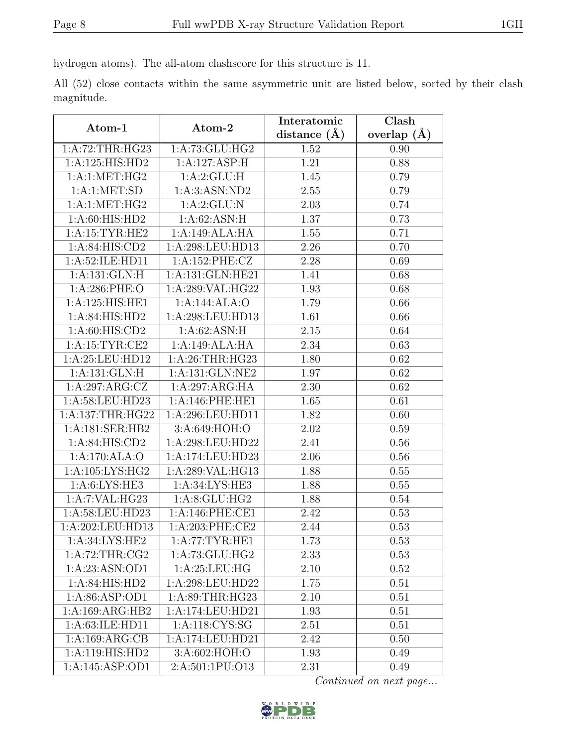hydrogen atoms). The all-atom clashscore for this structure is 11.

All (52) close contacts within the same asymmetric unit are listed below, sorted by their clash magnitude.

|                      | Atom-2             | Interatomic       | Clash         |  |
|----------------------|--------------------|-------------------|---------------|--|
| Atom-1               |                    | distance $(\AA)$  | overlap $(A)$ |  |
| 1:A:72:THR:HG23      | 1:A:73:GLU:HG2     | 1.52              | 0.90          |  |
| 1:A:125:HIS:HD2      | 1:A:127:ASP:H      | 1.21              | 0.88          |  |
| 1: A:1: MET:HG2      | 1:A:2:GLU:H        | 1.45              | 0.79          |  |
| 1: A:1: MET:SD       | 1:A:3:ASN:ND2      | 2.55              | 0.79          |  |
| 1:A:1:MET:HG2        | 1:A:2:GLU:N        | 2.03              | 0.74          |  |
| 1:A:60:HIS:HD2       | 1:A:62:ASN:H       | 1.37              | 0.73          |  |
| 1: A:15:TYR:HE2      | 1:A:149:ALA:HA     | 1.55              | 0.71          |  |
| 1:A:84:HIS:CD2       | 1:A:298:LEU:HD13   | 2.26              | 0.70          |  |
| 1:A:52:ILE:HD11      | 1:A:152:PHE:CZ     | $\overline{2.28}$ | 0.69          |  |
| 1:A:131:GLN:H        | 1:A:131:GLN:HE21   | 1.41              | 0.68          |  |
| 1:A:286:PHE:O        | 1:A:289:VAL:HG22   | 1.93              | 0.68          |  |
| 1:A:125:HIS:HE1      | 1:A:144:ALA:O      | 1.79              | 0.66          |  |
| 1: A:84: HIS: HD2    | 1:A:298:LEU:HD13   | 1.61              | 0.66          |  |
| 1: A:60: HIS:CD2     | 1:A:62:ASN:H       | 2.15              | 0.64          |  |
| 1:A:15:TYR:CE2       | 1:A:149:ALA:HA     | 2.34              | 0.63          |  |
| 1:A:25:LEU:HD12      | 1:A:26:THR:HG23    | 1.80              | 0.62          |  |
| 1: A: 131: GLN: H    | 1:A:131:GLN:NE2    | 1.97              | 0.62          |  |
| 1:A:297:ARG:CZ       | 1:A:297:ARG:HA     | 2.30              | 0.62          |  |
| $1:$ A:58:LEU:HD23   | 1: A:146: PHE: HE1 | 1.65              | 0.61          |  |
| 1: A: 137: THR: HG22 | 1:A:296:LEU:HD11   | 1.82              | 0.60          |  |
| 1:A:181:SER:HB2      | 3:A:649:HOH:O      | 2.02              | 0.59          |  |
| 1: A:84: HIS:CD2     | 1:A:298:LEU:HD22   | 2.41              | 0.56          |  |
| 1:A:170:ALA:O        | 1:A:174:LEU:HD23   | 2.06              | 0.56          |  |
| 1: A: 105: LYS: HG2  | 1:A:289:VAL:HG13   | 1.88              | 0.55          |  |
| 1: A:6: LYS: HE3     | 1:A:34:LYS:HE3     | 1.88              | 0.55          |  |
| 1:A:7:VAL:HG23       | 1: A:8: GLU: HG2   | 1.88              | 0.54          |  |
| 1:A:58:LEU:HD23      | 1:A:146:PHE:CE1    | 2.42              | 0.53          |  |
| 1:A:202:LEU:HD13     | 1:A:203:PHE:CE2    | 2.44              | 0.53          |  |
| 1: A:34:LYS:HE2      | 1: A:77:TYR:HE1    | 1.73              | 0.53          |  |
| 1: A:72:THR:CG2      | 1:A:73:GLU:HG2     | 2.33              | 0.53          |  |
| 1:A:23:ASN:OD1       | 1: A:25:LEU:HG     | 2.10              | 0.52          |  |
| 1: A:84: HIS: HD2    | 1:A:298:LEU:HD22   | 1.75              | 0.51          |  |
| 1: A:86: ASP:OD1     | 1:A:89:THR:HG23    | 2.10              | 0.51          |  |
| 1:A:169:ARG:HB2      | 1:A:174:LEU:HD21   | 1.93              | 0.51          |  |
| 1:A:63:ILE:HD11      | 1:A:118:CYS:SG     | $2.5\overline{1}$ | 0.51          |  |
| 1:A:169:ARG:CB       | 1:A:174:LEU:HD21   | 2.42              | 0.50          |  |
| 1:A:119:HIS:HD2      | 3:A:602:HOH:O      | 1.93              | 0.49          |  |
| 1:A:145:ASP:OD1      | 2:A:501:1PU:O13    | 2.31              | 0.49          |  |

Continued on next page...

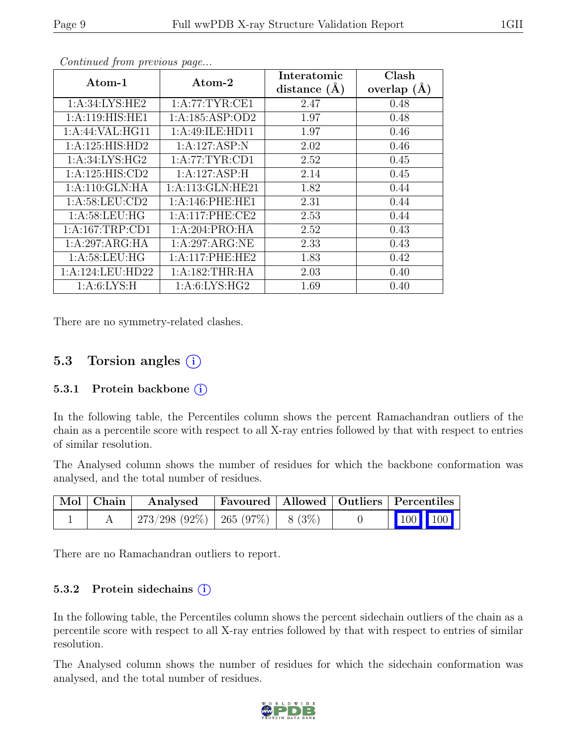| $\rm{Atom-1}$      | Atom-2              | Interatomic<br>distance $(A)$ | Clash<br>overlap $(\AA)$ |
|--------------------|---------------------|-------------------------------|--------------------------|
| 1:A:34:LYS:HE2     | 1: A:77: TYR: CE1   | 2.47                          | 0.48                     |
| 1: A:119: HIS: HE1 | 1:A:185:ASP:OD2     | 1.97                          | 0.48                     |
| 1:A:44:VAL:HG11    | 1:A:49:ILE:HD11     | 1.97                          | 0.46                     |
| 1:A:125:HIS:HD2    | 1:A:127:ASP:N       | 2.02                          | 0.46                     |
| 1: A:34: LYS: HG2  | 1:A:77:TYR:CD1      | 2.52                          | 0.45                     |
| 1:A:125:HIS:CD2    | 1:A:127:ASP:H       | 2.14                          | 0.45                     |
| 1:A:110:GLN:HA     | 1: A:113: GLN: HE21 | 1.82                          | 0.44                     |
| 1: A:58:LEU:CD2    | 1:A:146:PHE:HE1     | 2.31                          | 0.44                     |
| 1: A:58:LEU:HG     | 1:A:117:PHE:CE2     | 2.53                          | 0.44                     |
| 1:A:167:TRP:CD1    | 1:A:204:PRO:HA      | 2.52                          | 0.43                     |
| 1:A:297:ARG:HA     | 1:A:297:ARG:NE      | 2.33                          | 0.43                     |
| 1: A:58:LEU:HG     | 1:A:117:PHE:HE2     | 1.83                          | 0.42                     |
| 1:A:124:LEU:HD22   | 1: A: 182: THR: HA  | 2.03                          | 0.40                     |
| 1: A:6: LYS:H      | 1: A:6: LYS: HG2    | 1.69                          | 0.40                     |

Continued from previous page...

There are no symmetry-related clashes.

### 5.3 Torsion angles  $(i)$

#### 5.3.1 Protein backbone  $(i)$

In the following table, the Percentiles column shows the percent Ramachandran outliers of the chain as a percentile score with respect to all X-ray entries followed by that with respect to entries of similar resolution.

The Analysed column shows the number of residues for which the backbone conformation was analysed, and the total number of residues.

| $\mid$ Mol $\mid$ Chain $\mid$ | Analysed Favoured   Allowed   Outliers   Percentiles |  |                 |  |
|--------------------------------|------------------------------------------------------|--|-----------------|--|
|                                | $273/298$ (92\%)   265 (97\%)   8 (3\%)              |  | $\vert$ 100 100 |  |

There are no Ramachandran outliers to report.

#### 5.3.2 Protein sidechains  $(i)$

In the following table, the Percentiles column shows the percent sidechain outliers of the chain as a percentile score with respect to all X-ray entries followed by that with respect to entries of similar resolution.

The Analysed column shows the number of residues for which the sidechain conformation was analysed, and the total number of residues.

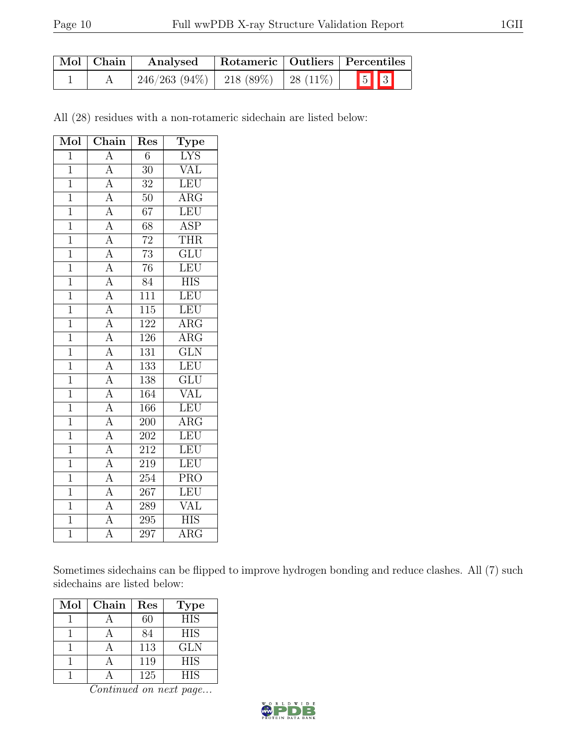| $\vert$ Mol $\vert$ Chain $\vert$ | Analysed                                  |  | Rotameric   Outliers   Percentiles |  |  |
|-----------------------------------|-------------------------------------------|--|------------------------------------|--|--|
|                                   | $246/263$ (94\%)   218 (89\%)   28 (11\%) |  | $\boxed{5}$ $\boxed{3}$            |  |  |

All (28) residues with a non-rotameric sidechain are listed below:

| $\overline{\text{Mol}}$ | Chain                                                                                                                                                                                                                                           | Res              | Type                      |
|-------------------------|-------------------------------------------------------------------------------------------------------------------------------------------------------------------------------------------------------------------------------------------------|------------------|---------------------------|
| $\overline{1}$          | $\overline{A}$                                                                                                                                                                                                                                  | $\overline{6}$   | <b>LYS</b>                |
| $\mathbf{1}$            |                                                                                                                                                                                                                                                 | $\overline{30}$  | <b>VAL</b>                |
| $\overline{1}$          | $\frac{\overline{A}}{\overline{A}}$                                                                                                                                                                                                             | $\overline{32}$  | LEU                       |
| $\mathbf{1}$            |                                                                                                                                                                                                                                                 | $50\,$           | $\rm{ARG}$                |
| $\overline{1}$          |                                                                                                                                                                                                                                                 | $\overline{67}$  | LEU                       |
| $\overline{1}$          |                                                                                                                                                                                                                                                 | $\overline{68}$  | $\overline{\text{ASP}}$   |
| $\overline{1}$          | $\frac{\overline{A}}{\overline{A}} \frac{\overline{A}}{\overline{A}} \frac{\overline{A}}{\overline{A}} \frac{\overline{A}}{\overline{A}} \frac{\overline{A}}{\overline{A}} \frac{\overline{A}}{\overline{A}} \frac{\overline{A}}{\overline{A}}$ | $\overline{72}$  | <b>THR</b>                |
| $\overline{1}$          |                                                                                                                                                                                                                                                 | $\overline{73}$  | $\overline{\text{GLU}}$   |
| $\overline{1}$          |                                                                                                                                                                                                                                                 | $\overline{76}$  | LEU                       |
| $\overline{1}$          |                                                                                                                                                                                                                                                 | $\overline{84}$  | $\overline{\mathrm{HIS}}$ |
| $\overline{1}$          |                                                                                                                                                                                                                                                 | $\overline{111}$ | LEU                       |
| $\overline{1}$          |                                                                                                                                                                                                                                                 | $\overline{115}$ | LEU                       |
| $\overline{1}$          |                                                                                                                                                                                                                                                 | 122              | $\overline{\rm{ARG}}$     |
| $\overline{1}$          |                                                                                                                                                                                                                                                 | 126              | $\overline{\text{ARG}}$   |
| $\overline{1}$          |                                                                                                                                                                                                                                                 | $\overline{131}$ | $\overline{\text{GLN}}$   |
| $\overline{1}$          |                                                                                                                                                                                                                                                 | 133              | LEU                       |
| $\mathbf 1$             |                                                                                                                                                                                                                                                 | $\overline{138}$ | $\overline{\text{GLU}}$   |
| $\overline{1}$          |                                                                                                                                                                                                                                                 | 164              | $\overline{\text{VAL}}$   |
| $\overline{1}$          |                                                                                                                                                                                                                                                 | 166              | LEU                       |
| $\overline{1}$          |                                                                                                                                                                                                                                                 | 200              | $\overline{\text{ARG}}$   |
| $\overline{1}$          |                                                                                                                                                                                                                                                 | 202              | LEU                       |
| $\overline{1}$          |                                                                                                                                                                                                                                                 | 212              | LEU                       |
| $\overline{1}$          | $\frac{\overline{A}}{\overline{A}}$ $\frac{\overline{A}}{\overline{A}}$ $\frac{\overline{A}}{\overline{A}}$ $\frac{\overline{A}}{\overline{A}}$                                                                                                 | 219              | LEU                       |
| $\mathbf{1}$            |                                                                                                                                                                                                                                                 | 254              | $\overline{\text{PRO}}$   |
| $\overline{1}$          | $\frac{A}{A}$                                                                                                                                                                                                                                   | 267              | LEU                       |
| $\overline{1}$          |                                                                                                                                                                                                                                                 | 289              | VAL                       |
| $\overline{1}$          | $\overline{A}$                                                                                                                                                                                                                                  | $\overline{295}$ | <b>HIS</b>                |
| $\overline{1}$          | $\overline{\rm A}$                                                                                                                                                                                                                              | 297              | <b>ARG</b>                |

Sometimes sidechains can be flipped to improve hydrogen bonding and reduce clashes. All (7) such sidechains are listed below:

| Mol | Chain | Res | Type       |
|-----|-------|-----|------------|
|     |       | 60  | <b>HIS</b> |
|     |       | 84  | <b>HIS</b> |
|     |       | 113 | <b>GLN</b> |
|     |       | 119 | <b>HIS</b> |
|     |       | 125 | <b>HIS</b> |

Continued on next page...

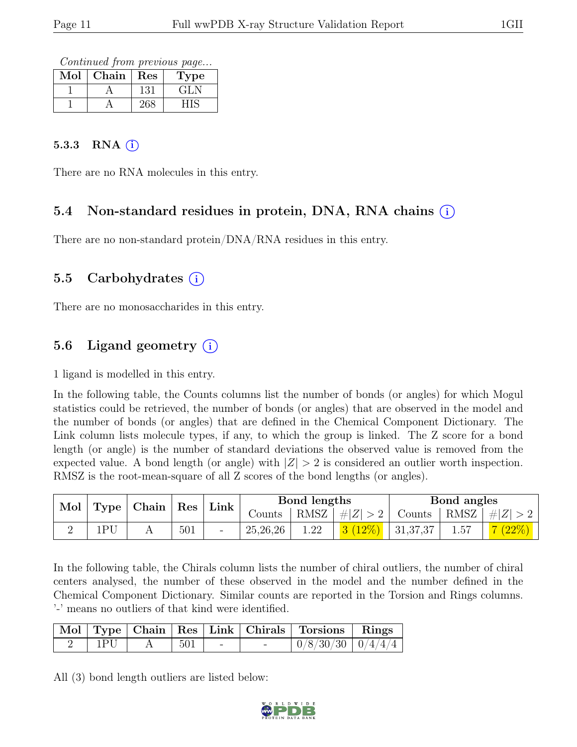Continued from previous page...

| Mol | ${\rm Chain}$ | Res | Type  |
|-----|---------------|-----|-------|
|     |               | 131 | ، 11. |
|     |               |     |       |

#### 5.3.3 RNA  $(i)$

There are no RNA molecules in this entry.

### 5.4 Non-standard residues in protein, DNA, RNA chains (i)

There are no non-standard protein/DNA/RNA residues in this entry.

### 5.5 Carbohydrates (i)

There are no monosaccharides in this entry.

### 5.6 Ligand geometry  $(i)$

1 ligand is modelled in this entry.

In the following table, the Counts columns list the number of bonds (or angles) for which Mogul statistics could be retrieved, the number of bonds (or angles) that are observed in the model and the number of bonds (or angles) that are defined in the Chemical Component Dictionary. The Link column lists molecule types, if any, to which the group is linked. The Z score for a bond length (or angle) is the number of standard deviations the observed value is removed from the expected value. A bond length (or angle) with  $|Z| > 2$  is considered an outlier worth inspection. RMSZ is the root-mean-square of all Z scores of the bond lengths (or angles).

| Mol |     | Type   Chain | $^{\shortmid}$ Res | Link |          | Bond lengths |                       |         | Bond angles |                 |
|-----|-----|--------------|--------------------|------|----------|--------------|-----------------------|---------|-------------|-----------------|
|     |     |              |                    |      | Counts   |              | $ RMSZ  \#  Z  > 2  $ | Counts  |             | RMSZ $ #Z  > 2$ |
|     | 1PI |              | 501                |      | 25,26,26 | 1.22         | 3(12%)                | 1,37,37 | 1.57        | $(22\%)$        |

In the following table, the Chirals column lists the number of chiral outliers, the number of chiral centers analysed, the number of these observed in the model and the number defined in the Chemical Component Dictionary. Similar counts are reported in the Torsion and Rings columns. '-' means no outliers of that kind were identified.

|     |  |                               | Mol   Type   Chain   Res   Link   Chirals   Torsions   Rings |  |
|-----|--|-------------------------------|--------------------------------------------------------------|--|
| 1PU |  | $\sim$ $\frac{1}{501}$ $\sim$ | $\mid 0/8/30/30 \mid 0/4/4/4 \mid$                           |  |

All (3) bond length outliers are listed below:

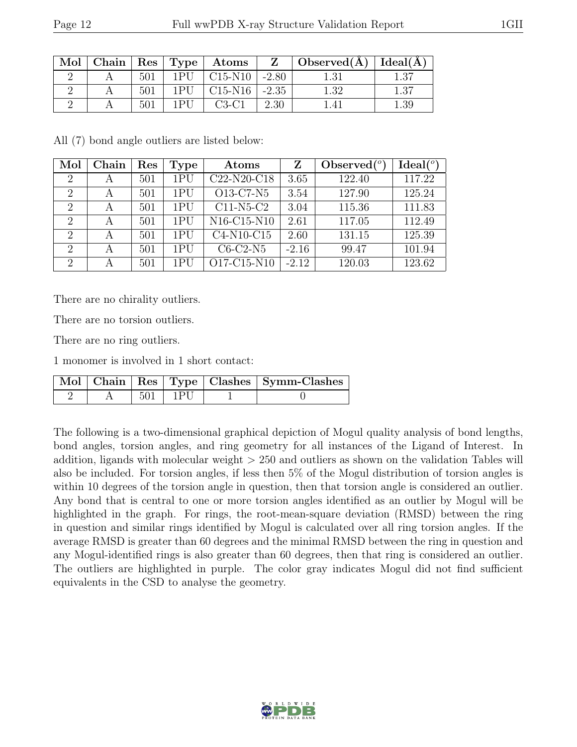| Mol |     |         | $\vert$ Chain $\vert$ Res $\vert$ Type $\vert$ Atoms $\vert$ Z $\vert$ |         | $\vert$ Observed( $\AA$ ) $\vert$ Ideal( $\AA$ ) |       |
|-----|-----|---------|------------------------------------------------------------------------|---------|--------------------------------------------------|-------|
|     | 501 | 1PII    | $C15-N10$ -2.80                                                        |         | 1.31                                             | l .37 |
|     | 501 | 1 P I I | $C15-N16$                                                              | $-2.35$ | 1.32                                             | 1.37  |
|     | 501 | 1 P U   | $C3-C1$                                                                | 2.30    |                                                  | .39   |

All (7) bond angle outliers are listed below:

| Mol                         | Chain | Res | <b>Type</b> | Atoms                                             | Z       | Observed $(°)$ | Ideal <sup>(o)</sup> |
|-----------------------------|-------|-----|-------------|---------------------------------------------------|---------|----------------|----------------------|
| $\overline{2}$              | A     | 501 | 1PU         | $C22-N20-C18$                                     | 3.65    | 122.40         | 117.22               |
| $\overline{2}$              | A     | 501 | 1PI         | O13-C7-N5                                         | 3.54    | 127.90         | 125.24               |
| $\mathcal{D}_{\mathcal{L}}$ | А     | 501 | 1PI         | $C11-N5-C2$                                       | 3.04    | 115.36         | 111.83               |
| $\mathcal{D}$               | А     | 501 | 1PI         | N <sub>16</sub> -C <sub>15</sub> -N <sub>10</sub> | 2.61    | 117.05         | 112.49               |
| $\overline{2}$              | А     | 501 | 1PI         | C4-N10-C15                                        | 2.60    | 131.15         | 125.39               |
| $\overline{2}$              | A     | 501 | 1PI         | $C6-C2-N5$                                        | $-2.16$ | 99.47          | 101.94               |
| $\overline{2}$              | А     | 501 | 1PU         | O17-C15-N10                                       | $-2.12$ | 120.03         | 123.62               |

There are no chirality outliers.

There are no torsion outliers.

There are no ring outliers.

1 monomer is involved in 1 short contact:

|  |             | Mol   Chain   Res   Type   Clashes   Symm-Clashes |
|--|-------------|---------------------------------------------------|
|  | $501$   1PU |                                                   |

The following is a two-dimensional graphical depiction of Mogul quality analysis of bond lengths, bond angles, torsion angles, and ring geometry for all instances of the Ligand of Interest. In addition, ligands with molecular weight > 250 and outliers as shown on the validation Tables will also be included. For torsion angles, if less then 5% of the Mogul distribution of torsion angles is within 10 degrees of the torsion angle in question, then that torsion angle is considered an outlier. Any bond that is central to one or more torsion angles identified as an outlier by Mogul will be highlighted in the graph. For rings, the root-mean-square deviation (RMSD) between the ring in question and similar rings identified by Mogul is calculated over all ring torsion angles. If the average RMSD is greater than 60 degrees and the minimal RMSD between the ring in question and any Mogul-identified rings is also greater than 60 degrees, then that ring is considered an outlier. The outliers are highlighted in purple. The color gray indicates Mogul did not find sufficient equivalents in the CSD to analyse the geometry.

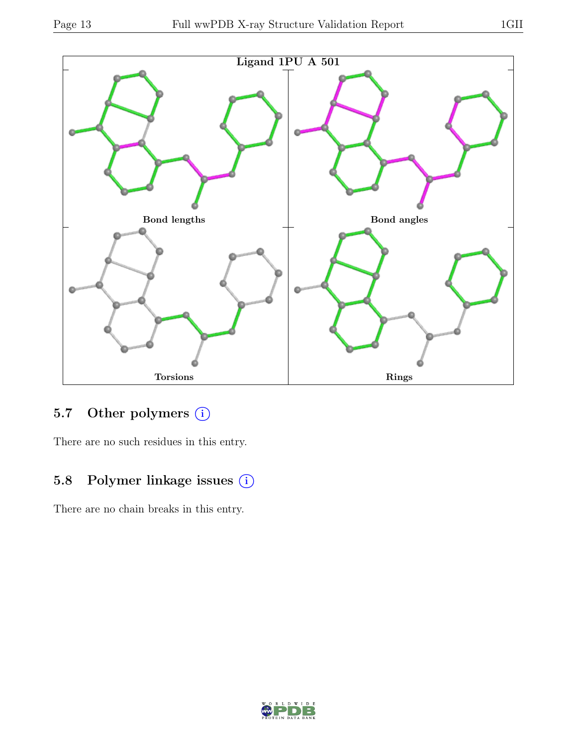

## 5.7 Other polymers (i)

There are no such residues in this entry.

## 5.8 Polymer linkage issues (i)

There are no chain breaks in this entry.